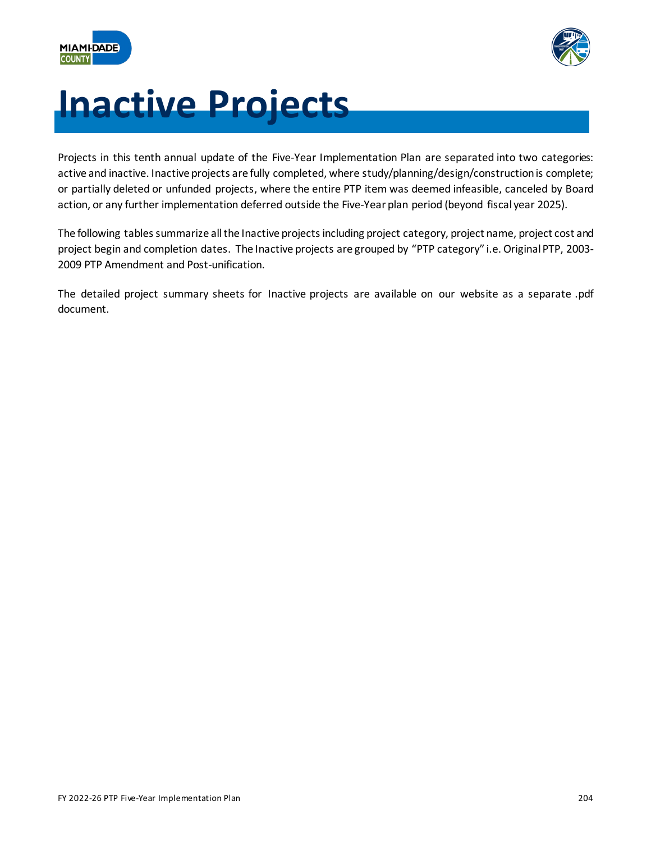



# **Inactive Projects**

Projects in this tenth annual update of the Five-Year Implementation Plan are separated into two categories: active and inactive. Inactive projects are fully completed, where study/planning/design/construction is complete; or partially deleted or unfunded projects, where the entire PTP item was deemed infeasible, canceled by Board action, or any further implementation deferred outside the Five-Year plan period (beyond fiscal year 2025).

The following tables summarize all the Inactive projects including project category, project name, project cost and project begin and completion dates. The Inactive projects are grouped by "PTP category" i.e. Original PTP, 2003- 2009 PTP Amendment and Post-unification.

The detailed project summary sheets for Inactive projects are available on our website as a separate .pdf document.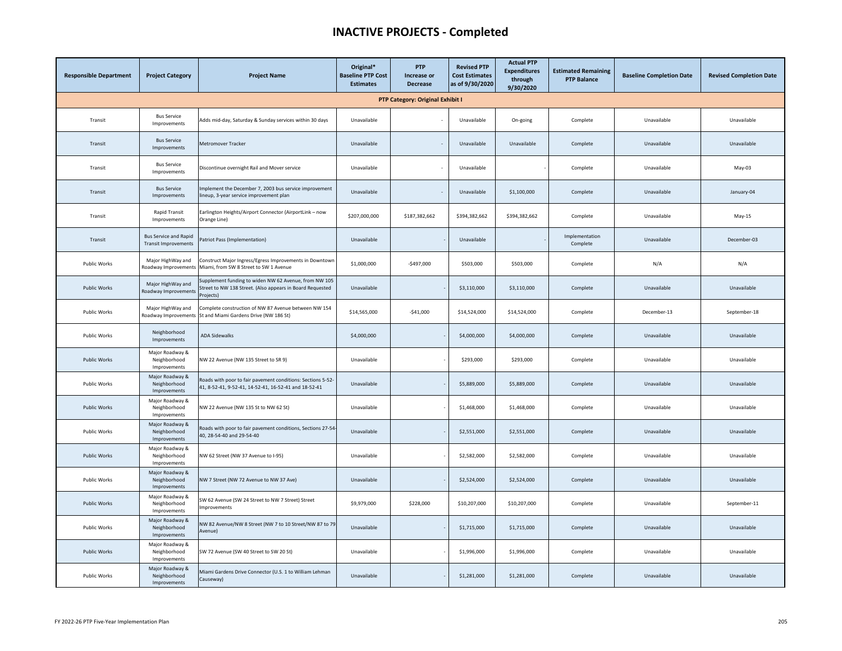| <b>Responsible Department</b> | <b>Project Category</b>                                     | <b>Project Name</b>                                                                                                             | Original*<br><b>Baseline PTP Cost</b><br><b>Estimates</b> | <b>PTP</b><br>Increase or<br><b>Decrease</b> | <b>Revised PTP</b><br><b>Cost Estimates</b><br>as of 9/30/2020 | <b>Actual PTP</b><br><b>Expenditures</b><br>through<br>9/30/2020 | <b>Estimated Remaining</b><br><b>PTP Balance</b> | <b>Baseline Completion Date</b> | <b>Revised Completion Date</b> |
|-------------------------------|-------------------------------------------------------------|---------------------------------------------------------------------------------------------------------------------------------|-----------------------------------------------------------|----------------------------------------------|----------------------------------------------------------------|------------------------------------------------------------------|--------------------------------------------------|---------------------------------|--------------------------------|
|                               |                                                             |                                                                                                                                 |                                                           | PTP Category: Original Exhibit I             |                                                                |                                                                  |                                                  |                                 |                                |
| Transit                       | <b>Bus Service</b><br>Improvements                          | Adds mid-day, Saturday & Sunday services within 30 days                                                                         | Unavailable                                               |                                              | Unavailable                                                    | On-going                                                         | Complete                                         | Unavailable                     | Unavailable                    |
| Transit                       | <b>Bus Service</b><br>Improvements                          | Metromover Tracker                                                                                                              | Unavailable                                               |                                              | Unavailable                                                    | Unavailable                                                      | Complete                                         | Unavailable                     | Unavailable                    |
| Transit                       | <b>Bus Service</b><br>Improvements                          | Discontinue overnight Rail and Mover service                                                                                    | Unavailable                                               |                                              | Unavailable                                                    |                                                                  | Complete                                         | Unavailable                     | May-03                         |
| Transit                       | <b>Bus Service</b><br>Improvements                          | mplement the December 7, 2003 bus service improvement<br>lineup, 3-year service improvement plan                                | Unavailable                                               | $\sim$                                       | Unavailable                                                    | \$1,100,000                                                      | Complete                                         | Unavailable                     | January-04                     |
| Transit                       | Rapid Transit<br>Improvements                               | Earlington Heights/Airport Connector (AirportLink - now<br>Orange Line)                                                         | \$207,000,000                                             | \$187,382,662                                | \$394,382,662                                                  | \$394,382,662                                                    | Complete                                         | Unavailable                     | May-15                         |
| Transit                       | <b>Bus Service and Rapid</b><br><b>Transit Improvements</b> | Patriot Pass (Implementation)                                                                                                   | Unavailable                                               |                                              | Unavailable                                                    |                                                                  | Implementation<br>Complete                       | Unavailable                     | December-03                    |
| Public Works                  | Major HighWay and<br>Roadway Improvements                   | Construct Major Ingress/Egress Improvements in Downtown<br>Miami, from SW 8 Street to SW 1 Avenue                               | \$1,000,000                                               | $-$497,000$                                  | \$503,000                                                      | \$503,000                                                        | Complete                                         | N/A                             | N/A                            |
| <b>Public Works</b>           | Major HighWay and<br>Roadway Improvements                   | Supplement funding to widen NW 62 Avenue, from NW 105<br>Street to NW 138 Street. (Also appears in Board Requested<br>Projects) | Unavailable                                               |                                              | \$3,110,000                                                    | \$3,110,000                                                      | Complete                                         | Unavailable                     | Unavailable                    |
| <b>Public Works</b>           | Major HighWay and<br>Roadway Improvement                    | Complete construction of NW 87 Avenue between NW 154<br>St and Miami Gardens Drive (NW 186 St)                                  | \$14,565,000                                              | $-$41,000$                                   | \$14,524,000                                                   | \$14,524,000                                                     | Complete                                         | December-13                     | September-18                   |
| Public Works                  | Neighborhood<br>Improvements                                | <b>ADA Sidewalks</b>                                                                                                            | \$4,000,000                                               |                                              | \$4,000,000                                                    | \$4,000,000                                                      | Complete                                         | Unavailable                     | Unavailable                    |
| <b>Public Works</b>           | Major Roadway &<br>Neighborhood<br>Improvements             | NW 22 Avenue (NW 135 Street to SR 9)                                                                                            | Unavailable                                               |                                              | \$293,000                                                      | \$293,000                                                        | Complete                                         | Unavailable                     | Unavailable                    |
| Public Works                  | Major Roadway &<br>Neighborhood<br>Improvements             | Roads with poor to fair pavement conditions: Sections 5-52-<br>41, 8-52-41, 9-52-41, 14-52-41, 16-52-41 and 18-52-41            | Unavailable                                               |                                              | \$5,889,000                                                    | \$5,889,000                                                      | Complete                                         | Unavailable                     | Unavailable                    |
| <b>Public Works</b>           | Major Roadway &<br>Neighborhood<br>Improvements             | NW 22 Avenue (NW 135 St to NW 62 St)                                                                                            | Unavailable                                               |                                              | \$1,468,000                                                    | \$1,468,000                                                      | Complete                                         | Unavailable                     | Unavailable                    |
| Public Works                  | Major Roadway &<br>Neighborhood<br>Improvements             | Roads with poor to fair pavement conditions, Sections 27-54-<br>40, 28-54-40 and 29-54-40                                       | Unavailable                                               |                                              | \$2,551,000                                                    | \$2,551,000                                                      | Complete                                         | Unavailable                     | Unavailable                    |
| <b>Public Works</b>           | Major Roadway &<br>Neighborhood<br>Improvements             | NW 62 Street (NW 37 Avenue to I-95)                                                                                             | Unavailable                                               |                                              | \$2,582,000                                                    | \$2,582,000                                                      | Complete                                         | Unavailable                     | Unavailable                    |
| Public Works                  | Major Roadway &<br>Neighborhood<br>Improvements             | NW 7 Street (NW 72 Avenue to NW 37 Ave)                                                                                         | Unavailable                                               |                                              | \$2,524,000                                                    | \$2,524,000                                                      | Complete                                         | Unavailable                     | Unavailable                    |
| <b>Public Works</b>           | Major Roadway &<br>Neighborhood<br>Improvements             | SW 62 Avenue (SW 24 Street to NW 7 Street) Street<br>mprovements                                                                | \$9,979,000                                               | \$228,000                                    | \$10,207,000                                                   | \$10,207,000                                                     | Complete                                         | Unavailable                     | September-11                   |
| Public Works                  | Major Roadway &<br>Neighborhood<br>Improvements             | NW 82 Avenue/NW 8 Street (NW 7 to 10 Street/NW 87 to 79<br>Avenue)                                                              | Unavailable                                               |                                              | \$1,715,000                                                    | \$1,715,000                                                      | Complete                                         | Unavailable                     | Unavailable                    |
| <b>Public Works</b>           | Major Roadway &<br>Neighborhood<br>Improvements             | SW 72 Avenue (SW 40 Street to SW 20 St)                                                                                         | Unavailable                                               |                                              | \$1,996,000                                                    | \$1,996,000                                                      | Complete                                         | Unavailable                     | Unavailable                    |
| Public Works                  | Major Roadway &<br>Neighborhood<br>Improvements             | Miami Gardens Drive Connector (U.S. 1 to William Lehman<br>Causeway)                                                            | Unavailable                                               |                                              | \$1,281,000                                                    | \$1,281,000                                                      | Complete                                         | Unavailable                     | Unavailable                    |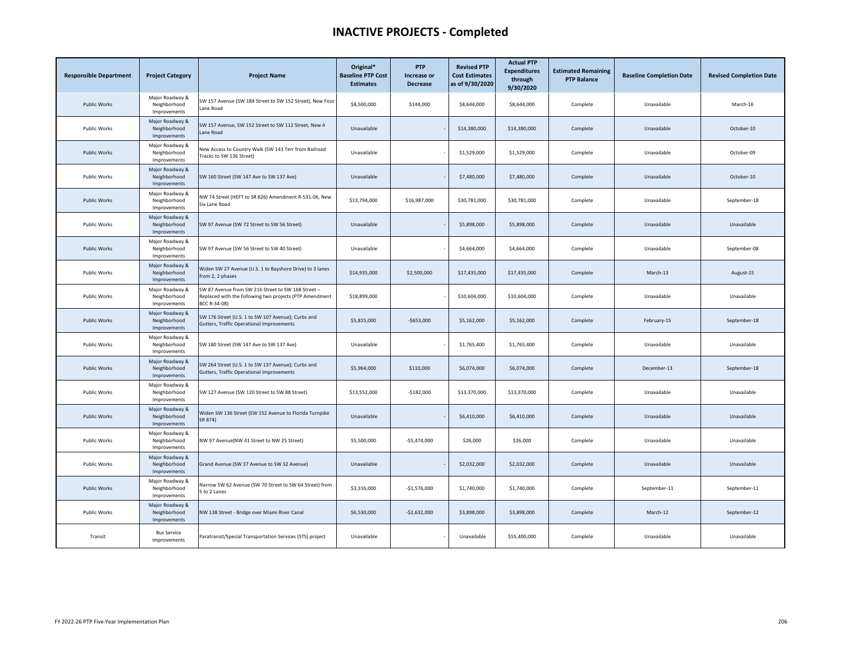| <b>Responsible Department</b> | <b>Project Category</b>                         | <b>Project Name</b>                                                                                                           | Original*<br><b>Baseline PTP Cost</b><br><b>Estimates</b> | <b>PTP</b><br>Increase or<br><b>Decrease</b> | <b>Revised PTP</b><br><b>Cost Estimates</b><br>as of 9/30/2020 | <b>Actual PTP</b><br><b>Expenditures</b><br>through<br>9/30/2020 | <b>Estimated Remaining</b><br><b>PTP Balance</b> | <b>Baseline Completion Date</b> | <b>Revised Completion Date</b> |
|-------------------------------|-------------------------------------------------|-------------------------------------------------------------------------------------------------------------------------------|-----------------------------------------------------------|----------------------------------------------|----------------------------------------------------------------|------------------------------------------------------------------|--------------------------------------------------|---------------------------------|--------------------------------|
| <b>Public Works</b>           | Major Roadway &<br>Neighborhood<br>Improvements | SW 157 Avenue (SW 184 Street to SW 152 Street), New Four<br>Lane Road                                                         | \$8,500,000                                               | \$144,000                                    | \$8,644,000                                                    | \$8,644,000                                                      | Complete                                         | Unavailable                     | March-16                       |
| Public Works                  | Major Roadway &<br>Neighborhood<br>Improvements | SW 157 Avenue, SW 152 Street to SW 112 Street, New 4<br>Lane Road                                                             | Unavailable                                               |                                              | \$14,380,000                                                   | \$14,380,000                                                     | Complete                                         | Unavailable                     | October-10                     |
| <b>Public Works</b>           | Major Roadway &<br>Neighborhood<br>Improvements | New Access to Country Walk (SW 143 Terr from Railroad<br>Tracks to SW 136 Street)                                             | Unavailable                                               |                                              | \$1,529,000                                                    | \$1,529,000                                                      | Complete                                         | Unavailable                     | October-09                     |
| Public Works                  | Major Roadway &<br>Neighborhood<br>Improvements | SW 160 Street (SW 147 Ave to SW 137 Ave)                                                                                      | Unavailable                                               |                                              | \$7,480,000                                                    | \$7,480,000                                                      | Complete                                         | Unavailable                     | October-10                     |
| <b>Public Works</b>           | Major Roadway &<br>Neighborhood<br>Improvements | NW 74 Street (HEFT to SR 826) Amendment R-531-06, New<br>Six Lane Road                                                        | \$13,794,000                                              | \$16,987,000                                 | \$30,781,000                                                   | \$30,781,000                                                     | Complete                                         | Unavailable                     | September-18                   |
| <b>Public Works</b>           | Major Roadway &<br>Neighborhood<br>Improvements | SW 97 Avenue (SW 72 Street to SW 56 Street)                                                                                   | Unavailable                                               |                                              | \$5,898,000                                                    | \$5,898,000                                                      | Complete                                         | Unavailable                     | Unavailable                    |
| <b>Public Works</b>           | Major Roadway &<br>Neighborhood<br>Improvements | SW 97 Avenue (SW 56 Street to SW 40 Street)                                                                                   | Unavailable                                               |                                              | \$4,664,000                                                    | \$4,664,000                                                      | Complete                                         | Unavailable                     | September-08                   |
| Public Works                  | Major Roadway &<br>Neighborhood<br>Improvements | Widen SW 27 Avenue (U.S. 1 to Bayshore Drive) to 3 lanes<br>from 2, 2 phases                                                  | \$14,935,000                                              | \$2,500,000                                  | \$17,435,000                                                   | \$17,435,000                                                     | Complete                                         | March-13                        | August-15                      |
| Public Works                  | Major Roadway &<br>Neighborhood<br>Improvements | SW 87 Avenue from SW 216 Street to SW 168 Street -<br>Replaced with the following two projects (PTP Amendment<br>BCC R-34-08) | \$18,899,000                                              |                                              | \$10,604,000                                                   | \$10,604,000                                                     | Complete                                         | Unavailable                     | Unavailable                    |
| <b>Public Works</b>           | Major Roadway &<br>Neighborhood<br>Improvements | SW 176 Street (U.S. 1 to SW 107 Avenue); Curbs and<br>Gutters, Traffic Operational Improvements                               | \$5,815,000                                               | $-$653,000$                                  | \$5,162,000                                                    | \$5,162,000                                                      | Complete                                         | February-15                     | September-18                   |
| Public Works                  | Major Roadway &<br>Neighborhood<br>Improvements | SW 180 Street (SW 147 Ave to SW 137 Ave)                                                                                      | Unavailable                                               |                                              | \$1,765,400                                                    | \$1,765,400                                                      | Complete                                         | Unavailable                     | Unavailable                    |
| <b>Public Works</b>           | Major Roadway &<br>Neighborhood<br>Improvements | SW 264 Street (U.S. 1 to SW 137 Avenue); Curbs and<br>Gutters, Traffic Operational Improvements                               | \$5,964,000                                               | \$110,000                                    | \$6,074,000                                                    | \$6,074,000                                                      | Complete                                         | December-13                     | September-18                   |
| <b>Public Works</b>           | Major Roadway &<br>Neighborhood<br>Improvements | SW 127 Avenue (SW 120 Street to SW 88 Street)                                                                                 | \$13,552,000                                              | $-$182,000$                                  | \$13,370,000                                                   | \$13,370,000                                                     | Complete                                         | Unavailable                     | Unavailable                    |
| <b>Public Works</b>           | Major Roadway &<br>Neighborhood<br>Improvements | Widen SW 136 Street (SW 152 Avenue to Florida Turnpike<br>SR 874)                                                             | Unavailable                                               |                                              | \$6,410,000                                                    | \$6,410,000                                                      | Complete                                         | Unavailable                     | Unavailable                    |
| Public Works                  | Major Roadway &<br>Neighborhood<br>Improvements | NW 97 Avenue(NW 41 Street to NW 25 Street)                                                                                    | \$5,500,000                                               | $-$5,474,000$                                | \$26,000                                                       | \$26,000                                                         | Complete                                         | Unavailable                     | Unavailable                    |
| Public Works                  | Major Roadway &<br>Neighborhood<br>Improvements | Grand Avenue (SW 37 Avenue to SW 32 Avenue)                                                                                   | Unavailable                                               |                                              | \$2,032,000                                                    | \$2,032,000                                                      | Complete                                         | Unavailable                     | Unavailable                    |
| <b>Public Works</b>           | Major Roadway &<br>Neighborhood<br>Improvements | Narrow SW 62 Avenue (SW 70 Street to SW 64 Street) from<br>5 to 2 Lanes                                                       | \$3,316,000                                               | $-$1,576,000$                                | \$1,740,000                                                    | \$1,740,000                                                      | Complete                                         | September-11                    | September-11                   |
| <b>Public Works</b>           | Major Roadway &<br>Neighborhood<br>Improvements | NW 138 Street - Bridge over Miami River Canal                                                                                 | \$6,530,000                                               | $-$2,632,000$                                | \$3,898,000                                                    | \$3,898,000                                                      | Complete                                         | March-12                        | September-12                   |
| Transit                       | <b>Bus Service</b><br>Improvements              | Paratransit/Special Transportation Services (STS) project                                                                     | Unavailable                                               |                                              | Unavailable                                                    | \$55,400,000                                                     | Complete                                         | Unavailable                     | Unavailable                    |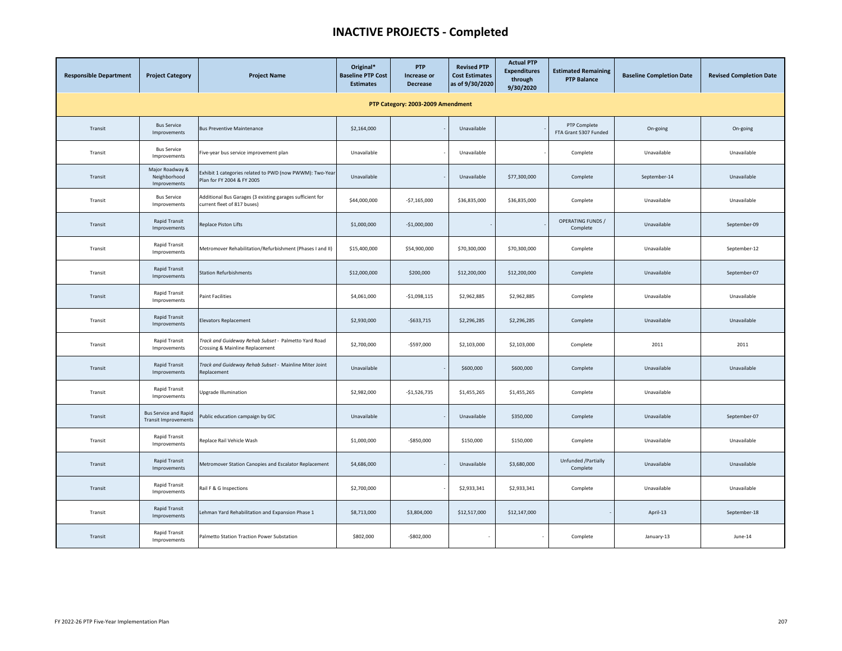| <b>Responsible Department</b>     | <b>Project Category</b>                              | <b>Project Name</b>                                                                      | Original*<br><b>Baseline PTP Cost</b><br><b>Estimates</b> | <b>PTP</b><br>Increase or<br><b>Decrease</b> | <b>Revised PTP</b><br><b>Cost Estimates</b><br>as of 9/30/2020 | <b>Actual PTP</b><br><b>Expenditures</b><br>through<br>9/30/2020 | <b>Estimated Remaining</b><br><b>PTP Balance</b> | <b>Baseline Completion Date</b> | <b>Revised Completion Date</b> |  |  |  |  |
|-----------------------------------|------------------------------------------------------|------------------------------------------------------------------------------------------|-----------------------------------------------------------|----------------------------------------------|----------------------------------------------------------------|------------------------------------------------------------------|--------------------------------------------------|---------------------------------|--------------------------------|--|--|--|--|
| PTP Category: 2003-2009 Amendment |                                                      |                                                                                          |                                                           |                                              |                                                                |                                                                  |                                                  |                                 |                                |  |  |  |  |
| Transit                           | <b>Bus Service</b><br>Improvements                   | <b>Bus Preventive Maintenance</b>                                                        | \$2,164,000                                               |                                              | Unavailable                                                    |                                                                  | PTP Complete<br>FTA Grant 5307 Funded            | On-going                        | On-going                       |  |  |  |  |
| Transit                           | <b>Bus Service</b><br>Improvements                   | Five-year bus service improvement plan                                                   | Unavailable                                               |                                              | Unavailable                                                    |                                                                  | Complete                                         | Unavailable                     | Unavailable                    |  |  |  |  |
| Transit                           | Major Roadway &<br>Neighborhood<br>Improvements      | Exhibit 1 categories related to PWD (now PWWM): Two-Year<br>Plan for FY 2004 & FY 2005   | Unavailable                                               |                                              | Unavailable                                                    | \$77,300,000                                                     | Complete                                         | September-14                    | Unavailable                    |  |  |  |  |
| Transit                           | <b>Bus Service</b><br>Improvements                   | Additional Bus Garages (3 existing garages sufficient for<br>current fleet of 817 buses) | \$44,000,000                                              | $-$7,165,000$                                | \$36,835,000                                                   | \$36,835,000                                                     | Complete                                         | Unavailable                     | Unavailable                    |  |  |  |  |
| Transit                           | Rapid Transit<br>Improvements                        | Replace Piston Lifts                                                                     | \$1,000,000                                               | $-$1,000,000$                                |                                                                |                                                                  | <b>OPERATING FUNDS /</b><br>Complete             | Unavailable                     | September-09                   |  |  |  |  |
| Transit                           | Rapid Transit<br>Improvements                        | Metromover Rehabilitation/Refurbishment (Phases I and II)                                | \$15,400,000                                              | \$54,900,000                                 | \$70,300,000                                                   | \$70,300,000                                                     | Complete                                         | Unavailable                     | September-12                   |  |  |  |  |
| Transit                           | Rapid Transit<br>Improvements                        | <b>Station Refurbishments</b>                                                            | \$12,000,000                                              | \$200,000                                    | \$12,200,000                                                   | \$12,200,000                                                     | Complete                                         | Unavailable                     | September-07                   |  |  |  |  |
| Transit                           | Rapid Transit<br>Improvements                        | <b>Paint Facilities</b>                                                                  | \$4,061,000                                               | $-$1,098,115$                                | \$2,962,885                                                    | \$2,962,885                                                      | Complete                                         | Unavailable                     | Unavailable                    |  |  |  |  |
| Transit                           | <b>Rapid Transit</b><br>Improvements                 | <b>Elevators Replacement</b>                                                             | \$2,930,000                                               | $-5633,715$                                  | \$2,296,285                                                    | \$2,296,285                                                      | Complete                                         | Unavailable                     | Unavailable                    |  |  |  |  |
| Transit                           | Rapid Transit<br>Improvements                        | Track and Guideway Rehab Subset - Palmetto Yard Road<br>Crossing & Mainline Replacement  | \$2,700,000                                               | $-$597,000$                                  | \$2,103,000                                                    | \$2,103,000                                                      | Complete                                         | 2011                            | 2011                           |  |  |  |  |
| Transit                           | Rapid Transit<br>Improvements                        | Track and Guideway Rehab Subset - Mainline Miter Joint<br>Replacement                    | Unavailable                                               |                                              | \$600,000                                                      | \$600,000                                                        | Complete                                         | Unavailable                     | Unavailable                    |  |  |  |  |
| Transit                           | Rapid Transit<br>Improvements                        | Upgrade Illumination                                                                     | \$2,982,000                                               | $-$1,526,735$                                | \$1,455,265                                                    | \$1,455,265                                                      | Complete                                         | Unavailable                     |                                |  |  |  |  |
| Transit                           | <b>Bus Service and Rapid</b><br>Transit Improvements | Public education campaign by GIC                                                         | Unavailable                                               |                                              | Unavailable                                                    | \$350,000                                                        | Complete                                         | Unavailable                     | September-07                   |  |  |  |  |
| Transit                           | Rapid Transit<br>Improvements                        | Replace Rail Vehicle Wash                                                                | \$1,000,000                                               | $-$850,000$                                  | \$150,000                                                      | \$150,000                                                        | Complete                                         | Unavailable                     | Unavailable                    |  |  |  |  |
| Transit                           | <b>Rapid Transit</b><br>Improvements                 | Metromover Station Canopies and Escalator Replacement                                    | \$4,686,000                                               |                                              | Unavailable                                                    | \$3,680,000                                                      | Unfunded /Partially<br>Complete                  | Unavailable                     | Unavailable                    |  |  |  |  |
| Transit                           | Rapid Transit<br>Improvements                        | Rail F & G Inspections                                                                   | \$2,700,000                                               |                                              | \$2,933,341                                                    | \$2,933,341                                                      | Complete                                         | Unavailable                     | Unavailable                    |  |  |  |  |
| Transit                           | Rapid Transit<br>Improvements                        | Lehman Yard Rehabilitation and Expansion Phase 1                                         | \$8,713,000                                               | \$3,804,000                                  | \$12,517,000                                                   | \$12,147,000                                                     |                                                  | April-13                        | September-18                   |  |  |  |  |
| Transit                           | Rapid Transit<br>Improvements                        | Palmetto Station Traction Power Substation                                               | \$802,000                                                 | $-$802,000$                                  | $\sim$                                                         |                                                                  | Complete                                         | January-13                      | June-14                        |  |  |  |  |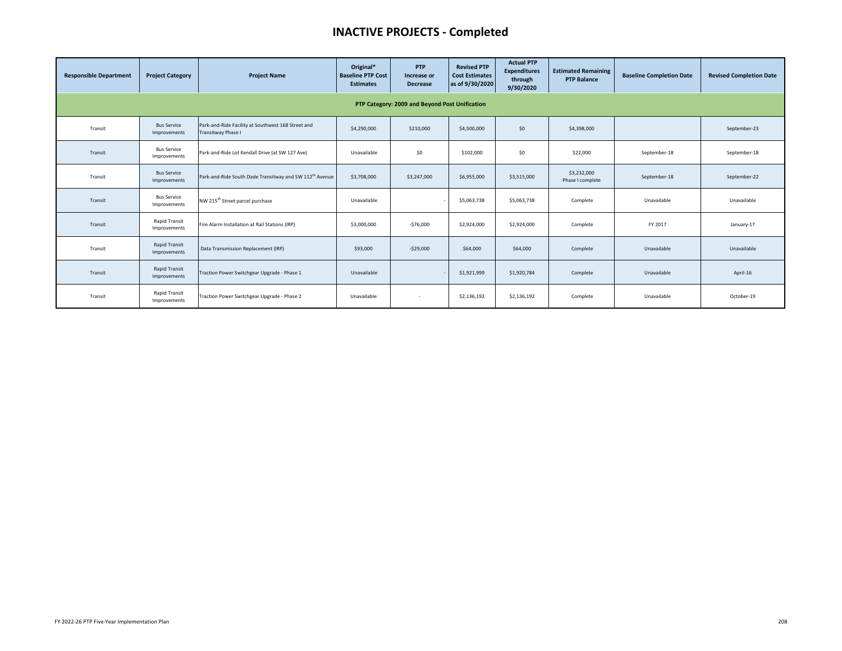| <b>Responsible Department</b>                  | <b>Project Category</b>              | <b>Project Name</b>                                                             | Original*<br><b>Baseline PTP Cost</b><br><b>Estimates</b> | <b>PTP</b><br>Increase or<br><b>Decrease</b> | <b>Revised PTP</b><br><b>Cost Estimates</b><br>as of 9/30/2020 | <b>Actual PTP</b><br><b>Expenditures</b><br>through<br>9/30/2020 | <b>Estimated Remaining</b><br><b>PTP Balance</b> | <b>Baseline Completion Date</b> | <b>Revised Completion Date</b> |  |  |  |
|------------------------------------------------|--------------------------------------|---------------------------------------------------------------------------------|-----------------------------------------------------------|----------------------------------------------|----------------------------------------------------------------|------------------------------------------------------------------|--------------------------------------------------|---------------------------------|--------------------------------|--|--|--|
| PTP Category: 2009 and Beyond Post Unification |                                      |                                                                                 |                                                           |                                              |                                                                |                                                                  |                                                  |                                 |                                |  |  |  |
| Transit                                        | <b>Bus Service</b><br>Improvements   | Park-and-Ride Facility at Southwest 168 Street and<br><b>Transitway Phase I</b> | \$4,290,000                                               | \$210,000                                    | \$4,500,000                                                    | \$0                                                              | \$4,398,000                                      |                                 | September-23                   |  |  |  |
| Transit                                        | <b>Bus Service</b><br>Improvements   | Park-and-Ride Lot Kendall Drive (at SW 127 Ave)                                 | Unavailable                                               | \$0                                          | \$102,000                                                      | \$0                                                              | \$22,000                                         | September-18                    | September-18                   |  |  |  |
| Transit                                        | <b>Bus Service</b><br>Improvements   | Park-and-Ride South Dade Transitway and SW 112 <sup>th</sup> Avenue             | \$3,708,000                                               | \$3,247,000                                  | \$6,955,000                                                    | \$3,515,000                                                      | \$3,232,000<br>Phase I complete                  | September-18                    | September-22                   |  |  |  |
| Transit                                        | <b>Bus Service</b><br>Improvements   | NW 215 <sup>th</sup> Street parcel purchase                                     | Unavailable                                               |                                              | \$5,063,738                                                    | \$5,063,738                                                      | Complete                                         | Unavailable                     | Unavailable                    |  |  |  |
| Transit                                        | <b>Rapid Transit</b><br>Improvements | Fire Alarm Installation at Rail Stations (IRP)                                  | \$3,000,000                                               | $-$76,000$                                   | \$2,924,000                                                    | \$2,924,000                                                      | Complete                                         | FY 2017                         | January-17                     |  |  |  |
| Transit                                        | <b>Rapid Transit</b><br>Improvements | Data Transmission Replacement (IRP)                                             | \$93,000                                                  | $-$29,000$                                   | \$64,000                                                       | \$64,000                                                         | Complete                                         | Unavailable                     | Unavailable                    |  |  |  |
| Transit                                        | <b>Rapid Transit</b><br>Improvements | Traction Power Switchgear Upgrade - Phase 1                                     | Unavailable                                               |                                              | \$1,921,999                                                    | \$1,920,784                                                      | Complete                                         | Unavailable                     | April-16                       |  |  |  |
| Transit                                        | <b>Rapid Transit</b><br>Improvements | Traction Power Switchgear Upgrade - Phase 2                                     | Unavailable                                               | $\sim$                                       | \$2,136,192                                                    | \$2,136,192                                                      | Complete                                         | Unavailable                     | October-19                     |  |  |  |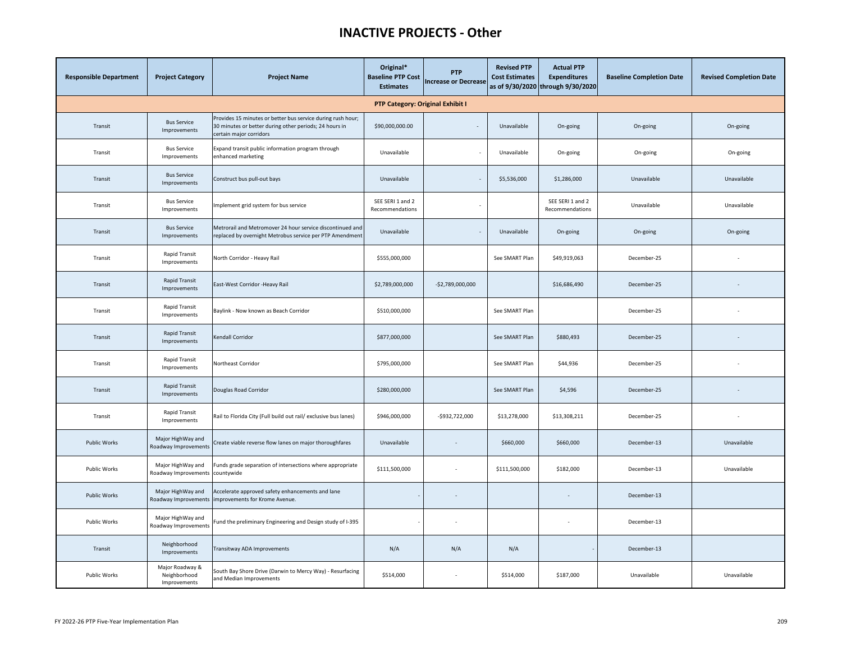# **INACTIVE PROJECTS - Other**

| <b>Responsible Department</b> | <b>Project Category</b>                         | <b>Project Name</b>                                                                                                                              | Original*<br><b>Baseline PTP Cost</b><br><b>Estimates</b> | <b>PTP</b><br><b>Increase or Decrease</b> | <b>Revised PTP</b><br><b>Cost Estimates</b> | <b>Actual PTP</b><br><b>Expenditures</b><br>as of 9/30/2020 through 9/30/2020 | <b>Baseline Completion Date</b> | <b>Revised Completion Date</b> |  |  |  |  |
|-------------------------------|-------------------------------------------------|--------------------------------------------------------------------------------------------------------------------------------------------------|-----------------------------------------------------------|-------------------------------------------|---------------------------------------------|-------------------------------------------------------------------------------|---------------------------------|--------------------------------|--|--|--|--|
|                               | PTP Category: Original Exhibit I                |                                                                                                                                                  |                                                           |                                           |                                             |                                                                               |                                 |                                |  |  |  |  |
| Transit                       | <b>Bus Service</b><br>Improvements              | Provides 15 minutes or better bus service during rush hour;<br>30 minutes or better during other periods; 24 hours in<br>certain major corridors | \$90,000,000.00                                           |                                           | Unavailable                                 | On-going                                                                      | On-going                        | On-going                       |  |  |  |  |
| Transit                       | <b>Bus Service</b><br>Improvements              | Expand transit public information program through<br>enhanced marketing                                                                          | Unavailable                                               |                                           | Unavailable                                 | On-going                                                                      | On-going                        | On-going                       |  |  |  |  |
| Transit                       | <b>Bus Service</b><br>Improvements              | Construct bus pull-out bays                                                                                                                      | Unavailable                                               |                                           | \$5,536,000                                 | \$1,286,000                                                                   | Unavailable                     | Unavailable                    |  |  |  |  |
| Transit                       | <b>Bus Service</b><br>Improvements              | mplement grid system for bus service                                                                                                             | SEE SERI 1 and 2<br>Recommendations                       |                                           |                                             | SEE SERI 1 and 2<br>Recommendations                                           | Unavailable                     | Unavailable                    |  |  |  |  |
| Transit                       | <b>Bus Service</b><br>Improvements              | Metrorail and Metromover 24 hour service discontinued and<br>replaced by overnight Metrobus service per PTP Amendment                            | Unavailable                                               |                                           | Unavailable                                 | On-going                                                                      | On-going                        | On-going                       |  |  |  |  |
| Transit                       | Rapid Transit<br>Improvements                   | North Corridor - Heavy Rail                                                                                                                      | \$555,000,000                                             |                                           | See SMART Plan                              | \$49,919,063                                                                  | December-25                     |                                |  |  |  |  |
| Transit                       | <b>Rapid Transit</b><br>Improvements            | East-West Corridor -Heavy Rail                                                                                                                   | \$2,789,000,000                                           | $-52,789,000,000$                         |                                             | \$16,686,490                                                                  | December-25                     | $\overline{\phantom{a}}$       |  |  |  |  |
| Transit                       | <b>Rapid Transit</b><br>Improvements            | Baylink - Now known as Beach Corridor                                                                                                            | \$510,000,000                                             |                                           | See SMART Plan                              |                                                                               | December-25                     |                                |  |  |  |  |
| Transit                       | Rapid Transit<br>Improvements                   | Kendall Corridor                                                                                                                                 | \$877,000,000                                             |                                           | See SMART Plan                              | \$880,493                                                                     | December-25                     |                                |  |  |  |  |
| Transit                       | <b>Rapid Transit</b><br>Improvements            | Northeast Corridor                                                                                                                               | \$795,000,000                                             |                                           | See SMART Plan                              | \$44,936                                                                      | December-25                     |                                |  |  |  |  |
| Transit                       | <b>Rapid Transit</b><br>Improvements            | Douglas Road Corridor                                                                                                                            | \$280,000,000                                             |                                           | See SMART Plan                              | \$4,596                                                                       | December-25                     |                                |  |  |  |  |
| Transit                       | Rapid Transit<br>Improvements                   | Rail to Florida City (Full build out rail/ exclusive bus lanes)                                                                                  | \$946,000,000                                             | -\$932,722,000                            | \$13,278,000                                | \$13,308,211                                                                  | December-25                     |                                |  |  |  |  |
| Public Works                  | Major HighWay and<br>Roadway Improvements       | Create viable reverse flow lanes on major thoroughfares                                                                                          | Unavailable                                               | $\overline{\phantom{a}}$                  | \$660,000                                   | \$660,000                                                                     | December-13                     | Unavailable                    |  |  |  |  |
| Public Works                  | Major HighWay and<br>Roadway Improvements       | Funds grade separation of intersections where appropriate<br>countywide                                                                          | \$111,500,000                                             |                                           | \$111,500,000                               | \$182,000                                                                     | December-13                     | Unavailable                    |  |  |  |  |
| <b>Public Works</b>           | Major HighWay and<br>Roadway Improvements       | Accelerate approved safety enhancements and lane<br>improvements for Krome Avenue.                                                               |                                                           | $\overline{\phantom{a}}$                  |                                             |                                                                               | December-13                     |                                |  |  |  |  |
| Public Works                  | Major HighWay and<br>Roadway Improvements       | Fund the preliminary Engineering and Design study of I-395                                                                                       |                                                           |                                           |                                             |                                                                               | December-13                     |                                |  |  |  |  |
| Transit                       | Neighborhood<br>Improvements                    | Transitway ADA Improvements                                                                                                                      | N/A                                                       | N/A                                       | N/A                                         |                                                                               | December-13                     |                                |  |  |  |  |
| <b>Public Works</b>           | Major Roadway &<br>Neighborhood<br>Improvements | South Bay Shore Drive (Darwin to Mercy Way) - Resurfacing<br>and Median Improvements                                                             | \$514,000                                                 |                                           | \$514,000                                   | \$187,000                                                                     | Unavailable                     | Unavailable                    |  |  |  |  |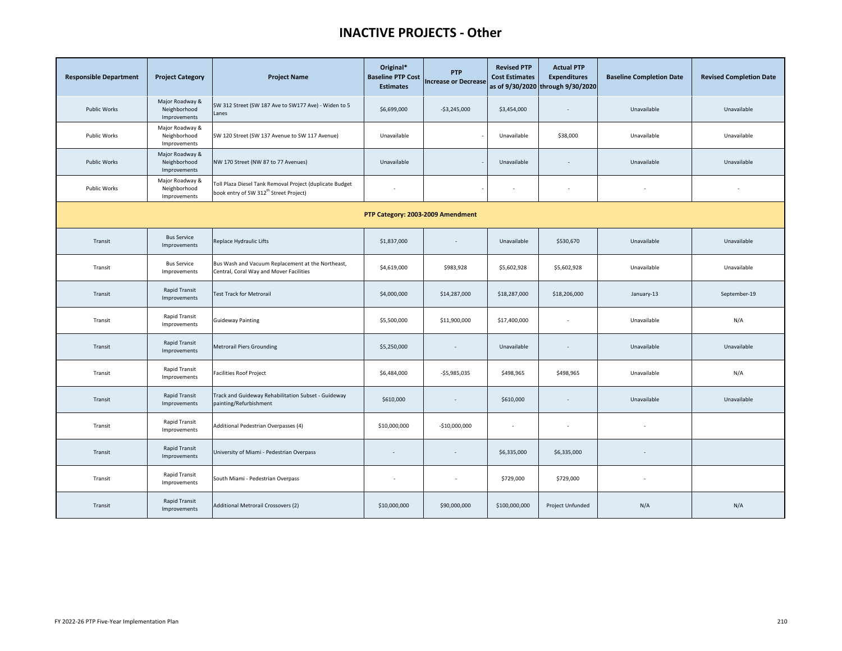### **INACTIVE PROJECTS - Other**

| <b>Responsible Department</b>     | <b>Project Category</b>                         | <b>Project Name</b>                                                                                            | Original*<br><b>Baseline PTP Cost</b><br><b>Estimates</b> | <b>PTP</b><br><b>Increase or Decrease</b> | <b>Revised PTP</b><br><b>Cost Estimates</b> | <b>Actual PTP</b><br><b>Expenditures</b><br>as of 9/30/2020 through 9/30/2020 | <b>Baseline Completion Date</b> | <b>Revised Completion Date</b> |  |  |  |
|-----------------------------------|-------------------------------------------------|----------------------------------------------------------------------------------------------------------------|-----------------------------------------------------------|-------------------------------------------|---------------------------------------------|-------------------------------------------------------------------------------|---------------------------------|--------------------------------|--|--|--|
| <b>Public Works</b>               | Major Roadway &<br>Neighborhood<br>Improvements | SW 312 Street (SW 187 Ave to SW177 Ave) - Widen to 5<br>Lanes                                                  | \$6,699,000                                               | $-53,245,000$                             | \$3,454,000                                 | $\overline{\phantom{a}}$                                                      | Unavailable                     | Unavailable                    |  |  |  |
| <b>Public Works</b>               | Major Roadway &<br>Neighborhood<br>Improvements | SW 120 Street (SW 137 Avenue to SW 117 Avenue)                                                                 | Unavailable                                               |                                           | Unavailable                                 | \$38,000                                                                      | Unavailable                     | Unavailable                    |  |  |  |
| <b>Public Works</b>               | Major Roadway &<br>Neighborhood<br>Improvements | NW 170 Street (NW 87 to 77 Avenues)                                                                            | Unavailable                                               |                                           | Unavailable                                 |                                                                               | Unavailable                     | Unavailable                    |  |  |  |
| <b>Public Works</b>               | Major Roadway &<br>Neighborhood<br>Improvements | Toll Plaza Diesel Tank Removal Project (duplicate Budget<br>book entry of SW 312 <sup>th</sup> Street Project) |                                                           |                                           | ä,                                          |                                                                               |                                 |                                |  |  |  |
| PTP Category: 2003-2009 Amendment |                                                 |                                                                                                                |                                                           |                                           |                                             |                                                                               |                                 |                                |  |  |  |
| Transit                           | <b>Bus Service</b><br>Improvements              | Replace Hydraulic Lifts                                                                                        | \$1,837,000                                               |                                           | Unavailable                                 | \$530,670                                                                     | Unavailable                     | Unavailable                    |  |  |  |
| Transit                           | <b>Bus Service</b><br>Improvements              | Bus Wash and Vacuum Replacement at the Northeast,<br>Central, Coral Way and Mover Facilities                   | \$4,619,000                                               | \$983,928                                 | \$5,602,928                                 | \$5,602,928                                                                   | Unavailable                     | Unavailable                    |  |  |  |
| Transit                           | Rapid Transit<br>Improvements                   | <b>Test Track for Metrorail</b>                                                                                | \$4,000,000                                               | \$14,287,000                              | \$18,287,000                                | \$18,206,000                                                                  | January-13                      | September-19                   |  |  |  |
| Transit                           | Rapid Transit<br>Improvements                   | <b>Guideway Painting</b>                                                                                       | \$5,500,000                                               | \$11,900,000                              | \$17,400,000                                | $\overline{\phantom{a}}$                                                      | Unavailable                     | N/A                            |  |  |  |
| Transit                           | Rapid Transit<br>Improvements                   | <b>Metrorail Piers Grounding</b>                                                                               | \$5,250,000                                               | $\sim$                                    | Unavailable                                 | $\overline{\phantom{a}}$                                                      | Unavailable                     | Unavailable                    |  |  |  |
| Transit                           | <b>Rapid Transit</b><br>Improvements            | <b>Facilities Roof Project</b>                                                                                 | \$6,484,000                                               | $-$5,985,035$                             | \$498,965                                   | \$498,965                                                                     | Unavailable                     | N/A                            |  |  |  |
| Transit                           | Rapid Transit<br>Improvements                   | Track and Guideway Rehabilitation Subset - Guideway<br>painting/Refurbishment                                  | \$610,000                                                 | $\overline{\phantom{a}}$                  | \$610,000                                   | $\overline{\phantom{a}}$                                                      | Unavailable                     | Unavailable                    |  |  |  |
| Transit                           | Rapid Transit<br>Improvements                   | Additional Pedestrian Overpasses (4)                                                                           | \$10,000,000                                              | $-$10,000,000$                            |                                             | $\overline{\phantom{a}}$                                                      |                                 |                                |  |  |  |
| Transit                           | <b>Rapid Transit</b><br>Improvements            | University of Miami - Pedestrian Overpass                                                                      |                                                           | $\overline{\phantom{a}}$                  | \$6,335,000                                 | \$6,335,000                                                                   |                                 |                                |  |  |  |
| Transit                           | Rapid Transit<br>Improvements                   | South Miami - Pedestrian Overpass                                                                              | ÷                                                         | $\overline{a}$                            | \$729,000                                   | \$729,000                                                                     |                                 |                                |  |  |  |
| Transit                           | Rapid Transit<br>Improvements                   | Additional Metrorail Crossovers (2)                                                                            | \$10,000,000                                              | \$90,000,000                              | \$100,000,000                               | Project Unfunded                                                              | N/A                             | N/A                            |  |  |  |